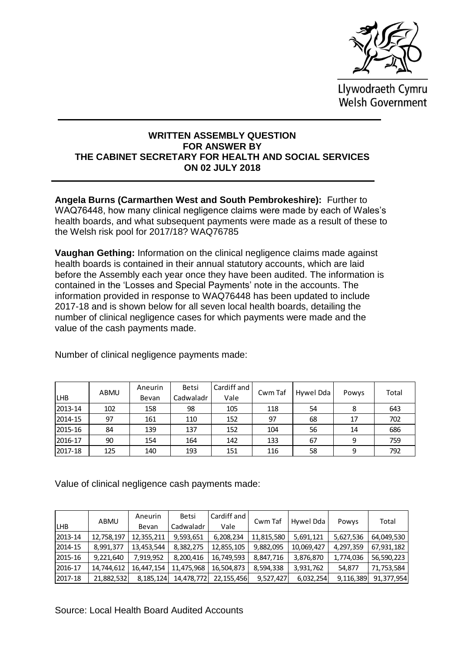

Llywodraeth Cymru Welsh Government

## **WRITTEN ASSEMBLY QUESTION FOR ANSWER BY THE CABINET SECRETARY FOR HEALTH AND SOCIAL SERVICES ON 02 JULY 2018**

**Angela Burns (Carmarthen West and South Pembrokeshire):** Further to WAQ76448, how many clinical negligence claims were made by each of Wales's health boards, and what subsequent payments were made as a result of these to the Welsh risk pool for 2017/18? WAQ76785

**Vaughan Gething:** Information on the clinical negligence claims made against health boards is contained in their annual statutory accounts, which are laid before the Assembly each year once they have been audited. The information is contained in the 'Losses and Special Payments' note in the accounts. The information provided in response to WAQ76448 has been updated to include 2017-18 and is shown below for all seven local health boards, detailing the number of clinical negligence cases for which payments were made and the value of the cash payments made.

|            | ABMU | Aneurin | <b>Betsi</b> | Cardiff and | Cwm Taf | Hywel Dda |       | Total |
|------------|------|---------|--------------|-------------|---------|-----------|-------|-------|
| <b>LHB</b> |      | Bevan   | Cadwaladr    | Vale        |         |           | Powys |       |
| 2013-14    | 102  | 158     | 98           | 105         | 118     | 54        | 8     | 643   |
| 2014-15    | 97   | 161     | 110          | 152         | 97      | 68        | 17    | 702   |
| 2015-16    | 84   | 139     | 137          | 152         | 104     | 56        | 14    | 686   |
| 2016-17    | 90   | 154     | 164          | 142         | 133     | 67        | 9     | 759   |
| 2017-18    | 125  | 140     | 193          | 151         | 116     | 58        | 9     | 792   |

Number of clinical negligence payments made:

| <b>LHB</b> |                                                          | Bevan                                       | Cadwaladr  | Vale         |            |            |           |            |
|------------|----------------------------------------------------------|---------------------------------------------|------------|--------------|------------|------------|-----------|------------|
| 2013-14    | 102                                                      | 158                                         | 98         | 105          | 118        | 54         | 8         | 643        |
| 2014-15    | 97                                                       | 161                                         | 110        | 152          | 97         | 68         | 17        | 702        |
| 2015-16    | 84                                                       | 139                                         | 137        | 152          | 104        | 56         | 14        | 686        |
| 2016-17    | 90                                                       | 154                                         | 164        | 142          | 133        | 67         | 9         | 759        |
| 2017-18    | 125                                                      | 140                                         | 193        | 151          | 116        | 58         | 9         | 792        |
|            | Value of clinical negligence cash payments made:<br>ABMU | Aneurin                                     | Betsi      | Cardiff and  | Cwm Taf    | Hywel Dda  | Powys     | Total      |
| <b>LHB</b> |                                                          | Bevan                                       | Cadwaladr  | Vale         |            |            |           |            |
| 2013-14    | 12,758,197                                               | 12,355,211                                  | 9,593,651  | 6,208,234    | 11,815,580 | 5,691,121  | 5,627,536 | 64,049,530 |
| 2014-15    | 8,991,377                                                | 13,453,544                                  | 8,382,275  | 12,855,105   | 9,882,095  | 10,069,427 | 4,297,359 | 67,931,182 |
| 2015-16    | 9,221,640                                                | 7,919,952                                   | 8,200,416  | 16,749,593   | 8,847,716  | 3,876,870  | 1,774,036 | 56,590,223 |
| 2016-17    | 14,744,612                                               | 16,447,154                                  | 11,475,968 | 16,504,873   | 8,594,338  | 3,931,762  | 54,877    | 71,753,584 |
| 2017-18    | 21,882,532                                               | 8,185,124                                   | 14,478,772 | 22, 155, 456 | 9,527,427  | 6,032,254  | 9,116,389 | 91,377,954 |
|            |                                                          | Source: Local Health Board Audited Accounts |            |              |            |            |           |            |